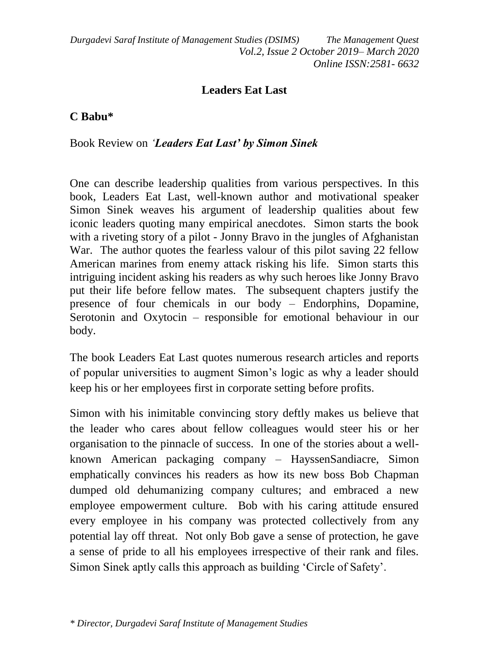*Durgadevi Saraf Institute of Management Studies (DSIMS) The Management Quest Vol.2, Issue 2 October 2019– March 2020 Online ISSN:2581- 6632*

## **Leaders Eat Last**

## **C Babu\***

Book Review on *'Leaders Eat Last' by Simon Sinek*

One can describe leadership qualities from various perspectives. In this book, Leaders Eat Last, well-known author and motivational speaker Simon Sinek weaves his argument of leadership qualities about few iconic leaders quoting many empirical anecdotes. Simon starts the book with a riveting story of a pilot - Jonny Bravo in the jungles of Afghanistan War. The author quotes the fearless valour of this pilot saving 22 fellow American marines from enemy attack risking his life. Simon starts this intriguing incident asking his readers as why such heroes like Jonny Bravo put their life before fellow mates. The subsequent chapters justify the presence of four chemicals in our body – Endorphins, Dopamine, Serotonin and Oxytocin – responsible for emotional behaviour in our body.

The book Leaders Eat Last quotes numerous research articles and reports of popular universities to augment Simon's logic as why a leader should keep his or her employees first in corporate setting before profits.

Simon with his inimitable convincing story deftly makes us believe that the leader who cares about fellow colleagues would steer his or her organisation to the pinnacle of success. In one of the stories about a wellknown American packaging company – HayssenSandiacre, Simon emphatically convinces his readers as how its new boss Bob Chapman dumped old dehumanizing company cultures; and embraced a new employee empowerment culture. Bob with his caring attitude ensured every employee in his company was protected collectively from any potential lay off threat. Not only Bob gave a sense of protection, he gave a sense of pride to all his employees irrespective of their rank and files. Simon Sinek aptly calls this approach as building 'Circle of Safety'.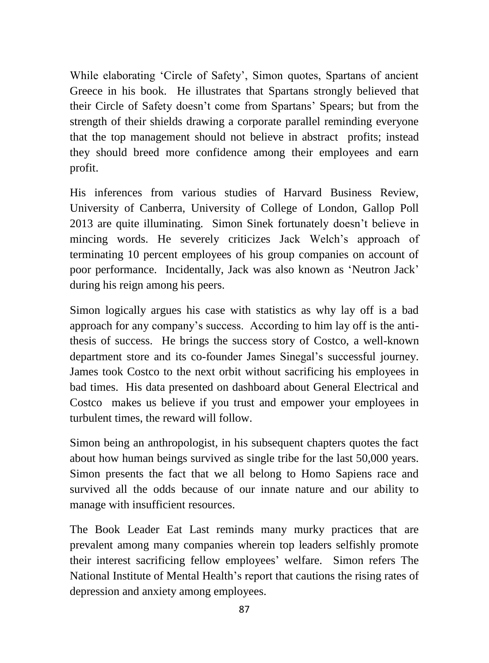While elaborating 'Circle of Safety', Simon quotes, Spartans of ancient Greece in his book. He illustrates that Spartans strongly believed that their Circle of Safety doesn't come from Spartans' Spears; but from the strength of their shields drawing a corporate parallel reminding everyone that the top management should not believe in abstract profits; instead they should breed more confidence among their employees and earn profit.

His inferences from various studies of Harvard Business Review, University of Canberra, University of College of London, Gallop Poll 2013 are quite illuminating. Simon Sinek fortunately doesn't believe in mincing words. He severely criticizes Jack Welch's approach of terminating 10 percent employees of his group companies on account of poor performance. Incidentally, Jack was also known as 'Neutron Jack' during his reign among his peers.

Simon logically argues his case with statistics as why lay off is a bad approach for any company's success. According to him lay off is the antithesis of success. He brings the success story of Costco, a well-known department store and its co-founder James Sinegal's successful journey. James took Costco to the next orbit without sacrificing his employees in bad times. His data presented on dashboard about General Electrical and Costco makes us believe if you trust and empower your employees in turbulent times, the reward will follow.

Simon being an anthropologist, in his subsequent chapters quotes the fact about how human beings survived as single tribe for the last 50,000 years. Simon presents the fact that we all belong to Homo Sapiens race and survived all the odds because of our innate nature and our ability to manage with insufficient resources.

The Book Leader Eat Last reminds many murky practices that are prevalent among many companies wherein top leaders selfishly promote their interest sacrificing fellow employees' welfare. Simon refers The National Institute of Mental Health's report that cautions the rising rates of depression and anxiety among employees.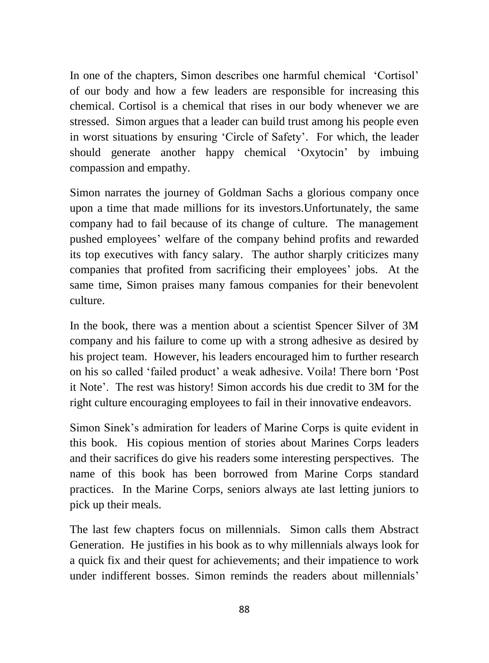In one of the chapters, Simon describes one harmful chemical 'Cortisol' of our body and how a few leaders are responsible for increasing this chemical. Cortisol is a chemical that rises in our body whenever we are stressed. Simon argues that a leader can build trust among his people even in worst situations by ensuring 'Circle of Safety'. For which, the leader should generate another happy chemical 'Oxytocin' by imbuing compassion and empathy.

Simon narrates the journey of Goldman Sachs a glorious company once upon a time that made millions for its investors.Unfortunately, the same company had to fail because of its change of culture. The management pushed employees' welfare of the company behind profits and rewarded its top executives with fancy salary. The author sharply criticizes many companies that profited from sacrificing their employees' jobs. At the same time, Simon praises many famous companies for their benevolent culture.

In the book, there was a mention about a scientist Spencer Silver of 3M company and his failure to come up with a strong adhesive as desired by his project team. However, his leaders encouraged him to further research on his so called 'failed product' a weak adhesive. Voila! There born 'Post it Note'. The rest was history! Simon accords his due credit to 3M for the right culture encouraging employees to fail in their innovative endeavors.

Simon Sinek's admiration for leaders of Marine Corps is quite evident in this book. His copious mention of stories about Marines Corps leaders and their sacrifices do give his readers some interesting perspectives. The name of this book has been borrowed from Marine Corps standard practices. In the Marine Corps, seniors always ate last letting juniors to pick up their meals.

The last few chapters focus on millennials. Simon calls them Abstract Generation. He justifies in his book as to why millennials always look for a quick fix and their quest for achievements; and their impatience to work under indifferent bosses. Simon reminds the readers about millennials'